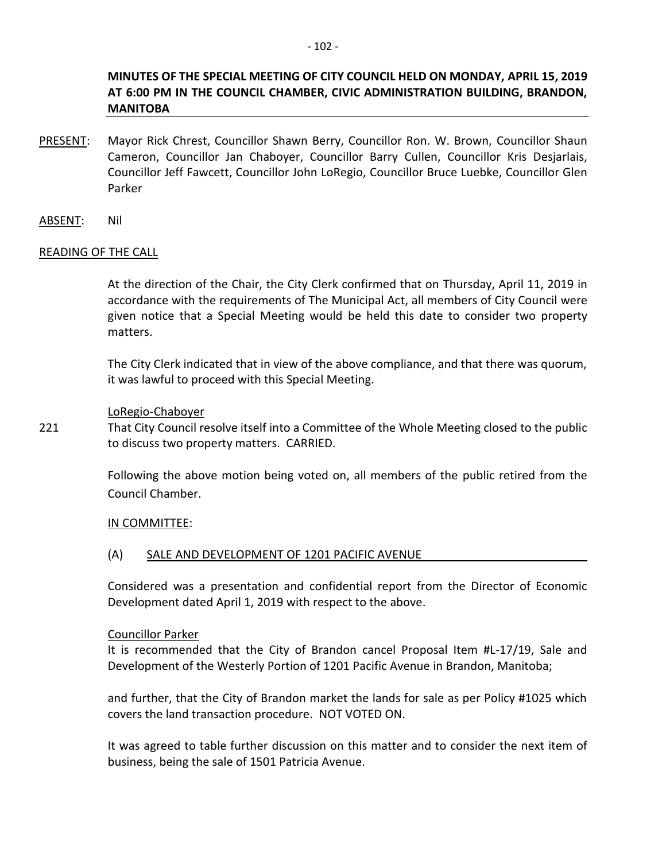## **MINUTES OF THE SPECIAL MEETING OF CITY COUNCIL HELD ON MONDAY, APRIL 15, 2019 AT 6:00 PM IN THE COUNCIL CHAMBER, CIVIC ADMINISTRATION BUILDING, BRANDON, MANITOBA**

- PRESENT: Mayor Rick Chrest, Councillor Shawn Berry, Councillor Ron. W. Brown, Councillor Shaun Cameron, Councillor Jan Chaboyer, Councillor Barry Cullen, Councillor Kris Desjarlais, Councillor Jeff Fawcett, Councillor John LoRegio, Councillor Bruce Luebke, Councillor Glen Parker
- ABSENT: Nil

## READING OF THE CALL

At the direction of the Chair, the City Clerk confirmed that on Thursday, April 11, 2019 in accordance with the requirements of The Municipal Act, all members of City Council were given notice that a Special Meeting would be held this date to consider two property matters.

The City Clerk indicated that in view of the above compliance, and that there was quorum, it was lawful to proceed with this Special Meeting.

## LoRegio-Chaboyer

221 That City Council resolve itself into a Committee of the Whole Meeting closed to the public to discuss two property matters. CARRIED.

> Following the above motion being voted on, all members of the public retired from the Council Chamber.

#### IN COMMITTEE:

#### (A) SALE AND DEVELOPMENT OF 1201 PACIFIC AVENUE

Considered was a presentation and confidential report from the Director of Economic Development dated April 1, 2019 with respect to the above.

#### Councillor Parker

It is recommended that the City of Brandon cancel Proposal Item #L-17/19, Sale and Development of the Westerly Portion of 1201 Pacific Avenue in Brandon, Manitoba;

and further, that the City of Brandon market the lands for sale as per Policy #1025 which covers the land transaction procedure. NOT VOTED ON.

It was agreed to table further discussion on this matter and to consider the next item of business, being the sale of 1501 Patricia Avenue.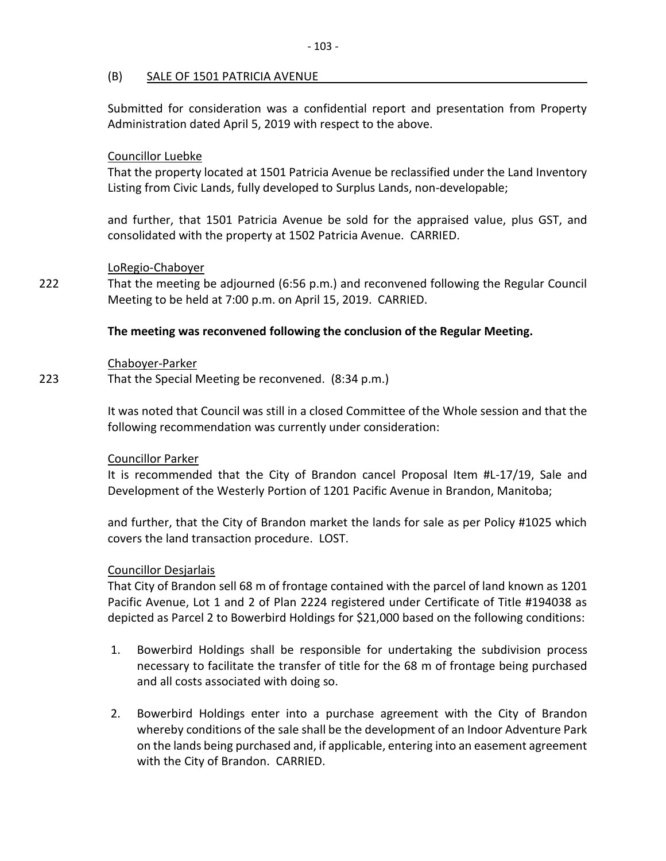## (B) SALE OF 1501 PATRICIA AVENUE

Submitted for consideration was a confidential report and presentation from Property Administration dated April 5, 2019 with respect to the above.

## Councillor Luebke

That the property located at 1501 Patricia Avenue be reclassified under the Land Inventory Listing from Civic Lands, fully developed to Surplus Lands, non-developable;

and further, that 1501 Patricia Avenue be sold for the appraised value, plus GST, and consolidated with the property at 1502 Patricia Avenue. CARRIED.

## LoRegio-Chaboyer

222 That the meeting be adjourned (6:56 p.m.) and reconvened following the Regular Council Meeting to be held at 7:00 p.m. on April 15, 2019. CARRIED.

## **The meeting was reconvened following the conclusion of the Regular Meeting.**

#### Chaboyer-Parker

223 That the Special Meeting be reconvened. (8:34 p.m.)

It was noted that Council was still in a closed Committee of the Whole session and that the following recommendation was currently under consideration:

#### Councillor Parker

It is recommended that the City of Brandon cancel Proposal Item #L-17/19, Sale and Development of the Westerly Portion of 1201 Pacific Avenue in Brandon, Manitoba;

and further, that the City of Brandon market the lands for sale as per Policy #1025 which covers the land transaction procedure. LOST.

#### Councillor Desjarlais

That City of Brandon sell 68 m of frontage contained with the parcel of land known as 1201 Pacific Avenue, Lot 1 and 2 of Plan 2224 registered under Certificate of Title #194038 as depicted as Parcel 2 to Bowerbird Holdings for \$21,000 based on the following conditions:

- 1. Bowerbird Holdings shall be responsible for undertaking the subdivision process necessary to facilitate the transfer of title for the 68 m of frontage being purchased and all costs associated with doing so.
- 2. Bowerbird Holdings enter into a purchase agreement with the City of Brandon whereby conditions of the sale shall be the development of an Indoor Adventure Park on the lands being purchased and, if applicable, entering into an easement agreement with the City of Brandon. CARRIED.